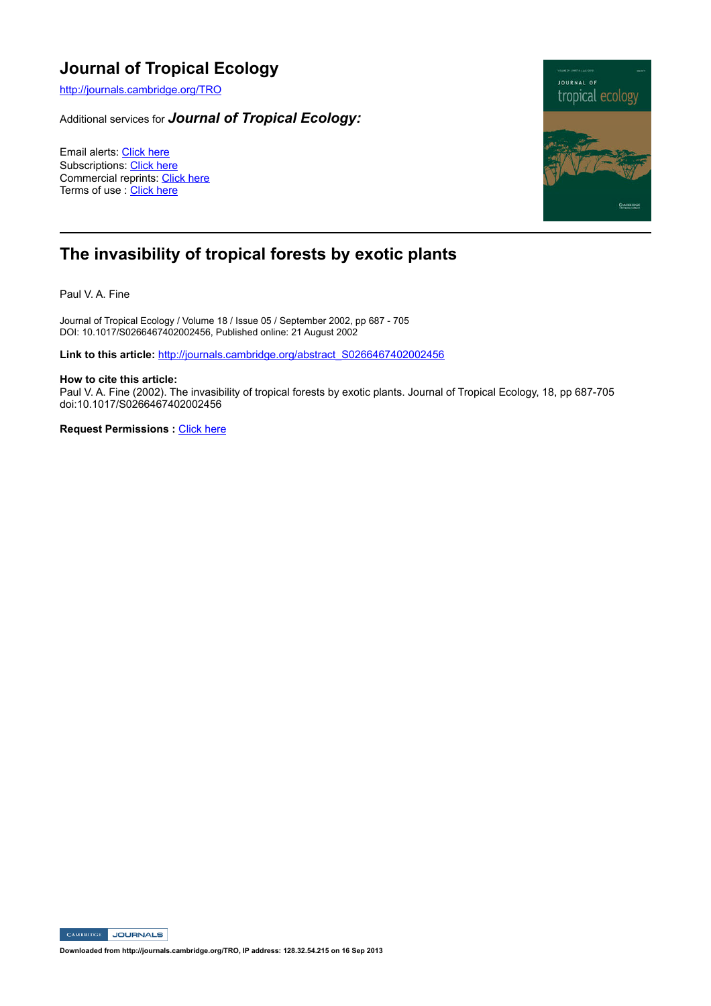# **Journal of Tropical Ecology**

http://journals.cambridge.org/TRO

Additional services for *Journal of Tropical Ecology:*

Email alerts: Click here Subscriptions: Click here Commercial reprints: Click here Terms of use : Click here



## **The invasibility of tropical forests by exotic plants**

Paul V. A. Fine

Journal of Tropical Ecology / Volume 18 / Issue 05 / September 2002, pp 687 - 705 DOI: 10.1017/S0266467402002456, Published online: 21 August 2002

Link to this article: http://journals.cambridge.org/abstract\_S0266467402002456

**How to cite this article:**

Paul V. A. Fine (2002). The invasibility of tropical forests by exotic plants. Journal of Tropical Ecology, 18, pp 687-705 doi:10.1017/S0266467402002456

**Request Permissions :** Click here

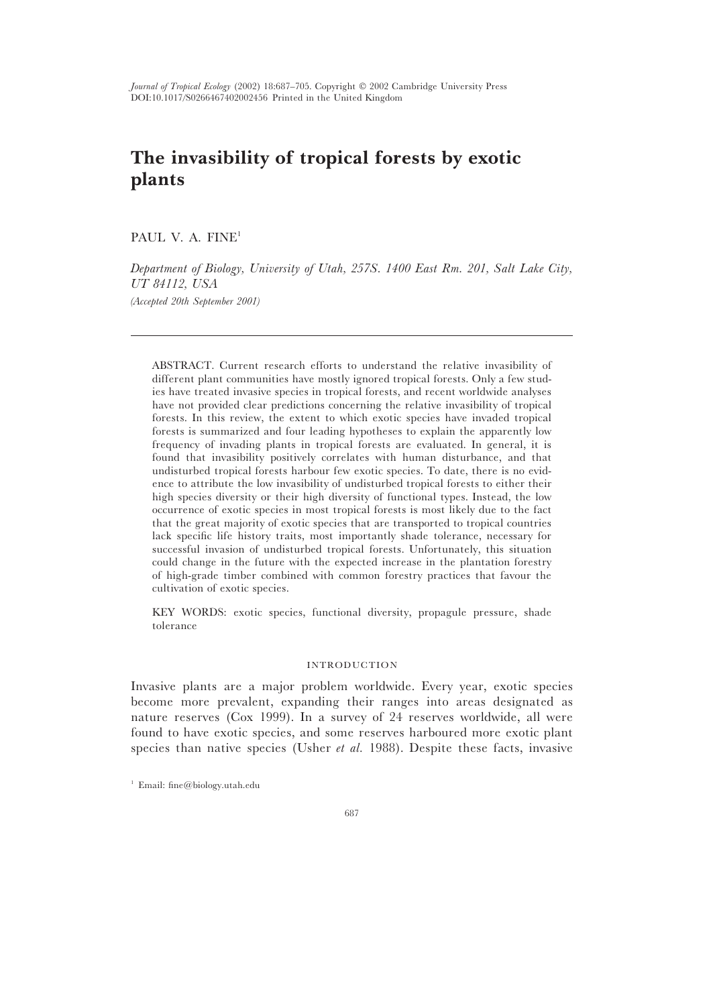# **The invasibility of tropical forests by exotic plants**

PAUL V. A. FINE<sup>1</sup>

*Department of Biology, University of Utah, 257S. 1400 East Rm. 201, Salt Lake City, UT 84112, USA (Accepted 20th September 2001)*

ABSTRACT. Current research efforts to understand the relative invasibility of different plant communities have mostly ignored tropical forests. Only a few studies have treated invasive species in tropical forests, and recent worldwide analyses have not provided clear predictions concerning the relative invasibility of tropical forests. In this review, the extent to which exotic species have invaded tropical forests is summarized and four leading hypotheses to explain the apparently low frequency of invading plants in tropical forests are evaluated. In general, it is found that invasibility positively correlates with human disturbance, and that undisturbed tropical forests harbour few exotic species. To date, there is no evidence to attribute the low invasibility of undisturbed tropical forests to either their high species diversity or their high diversity of functional types. Instead, the low occurrence of exotic species in most tropical forests is most likely due to the fact that the great majority of exotic species that are transported to tropical countries lack specific life history traits, most importantly shade tolerance, necessary for successful invasion of undisturbed tropical forests. Unfortunately, this situation could change in the future with the expected increase in the plantation forestry of high-grade timber combined with common forestry practices that favour the cultivation of exotic species.

KEY WORDS: exotic species, functional diversity, propagule pressure, shade tolerance

## INTRODUCTION

Invasive plants are a major problem worldwide. Every year, exotic species become more prevalent, expanding their ranges into areas designated as nature reserves (Cox 1999). In a survey of 24 reserves worldwide, all were found to have exotic species, and some reserves harboured more exotic plant species than native species (Usher *et al.* 1988). Despite these facts, invasive

<sup>&</sup>lt;sup>1</sup> Email: fine@biology.utah.edu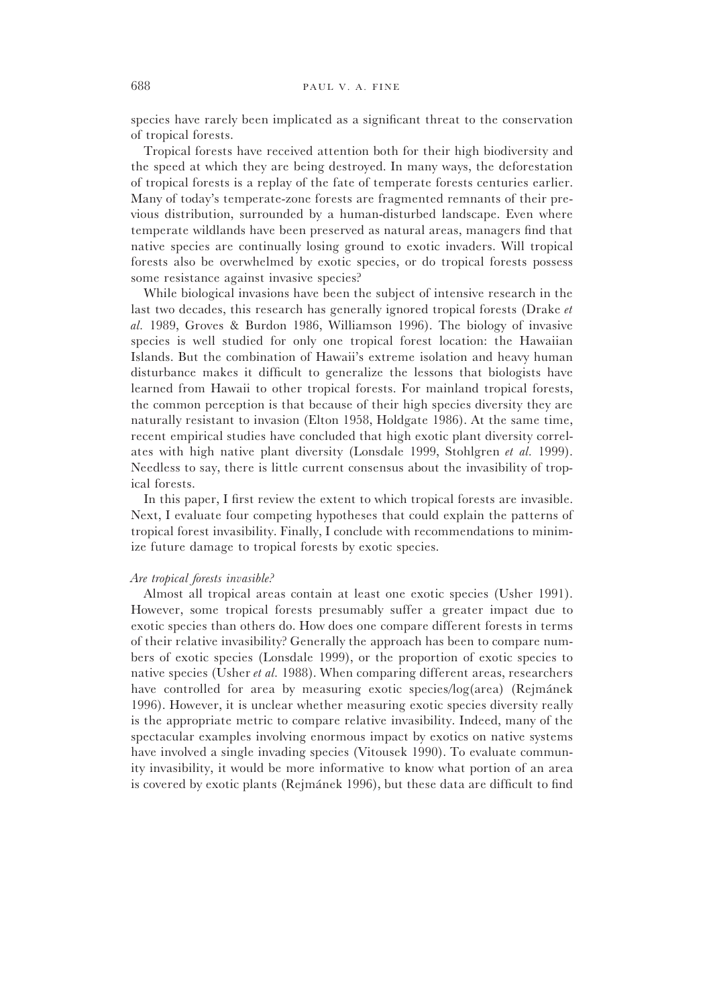species have rarely been implicated as a significant threat to the conservation of tropical forests.

Tropical forests have received attention both for their high biodiversity and the speed at which they are being destroyed. In many ways, the deforestation of tropical forests is a replay of the fate of temperate forests centuries earlier. Many of today's temperate-zone forests are fragmented remnants of their previous distribution, surrounded by a human-disturbed landscape. Even where temperate wildlands have been preserved as natural areas, managers find that native species are continually losing ground to exotic invaders. Will tropical forests also be overwhelmed by exotic species, or do tropical forests possess some resistance against invasive species?

While biological invasions have been the subject of intensive research in the last two decades, this research has generally ignored tropical forests (Drake *et al.* 1989, Groves & Burdon 1986, Williamson 1996). The biology of invasive species is well studied for only one tropical forest location: the Hawaiian Islands. But the combination of Hawaii's extreme isolation and heavy human disturbance makes it difficult to generalize the lessons that biologists have learned from Hawaii to other tropical forests. For mainland tropical forests, the common perception is that because of their high species diversity they are naturally resistant to invasion (Elton 1958, Holdgate 1986). At the same time, recent empirical studies have concluded that high exotic plant diversity correlates with high native plant diversity (Lonsdale 1999, Stohlgren *et al.* 1999). Needless to say, there is little current consensus about the invasibility of tropical forests.

In this paper, I first review the extent to which tropical forests are invasible. Next, I evaluate four competing hypotheses that could explain the patterns of tropical forest invasibility. Finally, I conclude with recommendations to minimize future damage to tropical forests by exotic species.

#### *Are tropical forests invasible?*

Almost all tropical areas contain at least one exotic species (Usher 1991). However, some tropical forests presumably suffer a greater impact due to exotic species than others do. How does one compare different forests in terms of their relative invasibility? Generally the approach has been to compare numbers of exotic species (Lonsdale 1999), or the proportion of exotic species to native species (Usher *et al.* 1988). When comparing different areas, researchers have controlled for area by measuring exotic species/log(area) (Rejmánek 1996). However, it is unclear whether measuring exotic species diversity really is the appropriate metric to compare relative invasibility. Indeed, many of the spectacular examples involving enormous impact by exotics on native systems have involved a single invading species (Vitousek 1990). To evaluate community invasibility, it would be more informative to know what portion of an area is covered by exotic plants (Rejmand 1996), but these data are difficult to find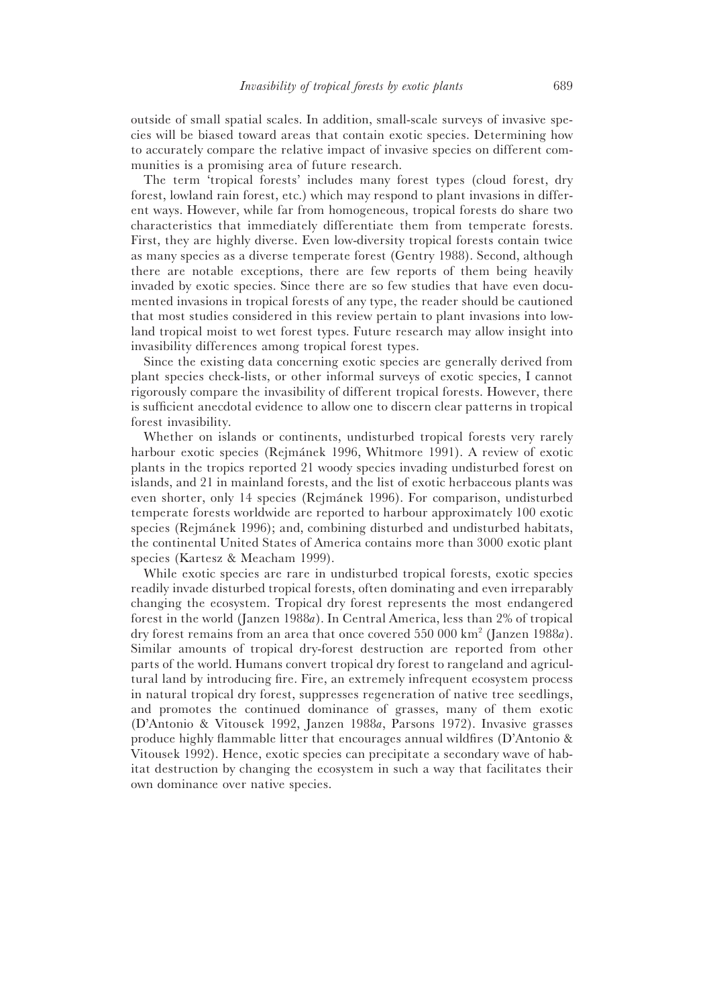outside of small spatial scales. In addition, small-scale surveys of invasive species will be biased toward areas that contain exotic species. Determining how to accurately compare the relative impact of invasive species on different communities is a promising area of future research.

The term 'tropical forests' includes many forest types (cloud forest, dry forest, lowland rain forest, etc.) which may respond to plant invasions in different ways. However, while far from homogeneous, tropical forests do share two characteristics that immediately differentiate them from temperate forests. First, they are highly diverse. Even low-diversity tropical forests contain twice as many species as a diverse temperate forest (Gentry 1988). Second, although there are notable exceptions, there are few reports of them being heavily invaded by exotic species. Since there are so few studies that have even documented invasions in tropical forests of any type, the reader should be cautioned that most studies considered in this review pertain to plant invasions into lowland tropical moist to wet forest types. Future research may allow insight into invasibility differences among tropical forest types.

Since the existing data concerning exotic species are generally derived from plant species check-lists, or other informal surveys of exotic species, I cannot rigorously compare the invasibility of different tropical forests. However, there is sufficient anecdotal evidence to allow one to discern clear patterns in tropical forest invasibility.

Whether on islands or continents, undisturbed tropical forests very rarely harbour exotic species (Rejmánek 1996, Whitmore 1991). A review of exotic plants in the tropics reported 21 woody species invading undisturbed forest on islands, and 21 in mainland forests, and the list of exotic herbaceous plants was even shorter, only 14 species (Rejmanek 1996). For comparison, undisturbed temperate forests worldwide are reported to harbour approximately 100 exotic species (Rejmánek 1996); and, combining disturbed and undisturbed habitats, the continental United States of America contains more than 3000 exotic plant species (Kartesz & Meacham 1999).

While exotic species are rare in undisturbed tropical forests, exotic species readily invade disturbed tropical forests, often dominating and even irreparably changing the ecosystem. Tropical dry forest represents the most endangered forest in the world (Janzen 1988*a*). In Central America, less than 2% of tropical dry forest remains from an area that once covered 550 000 km2 (Janzen 1988*a*). Similar amounts of tropical dry-forest destruction are reported from other parts of the world. Humans convert tropical dry forest to rangeland and agricultural land by introducing fire. Fire, an extremely infrequent ecosystem process in natural tropical dry forest, suppresses regeneration of native tree seedlings, and promotes the continued dominance of grasses, many of them exotic (D'Antonio & Vitousek 1992, Janzen 1988*a*, Parsons 1972). Invasive grasses produce highly flammable litter that encourages annual wildfires (D'Antonio & Vitousek 1992). Hence, exotic species can precipitate a secondary wave of habitat destruction by changing the ecosystem in such a way that facilitates their own dominance over native species.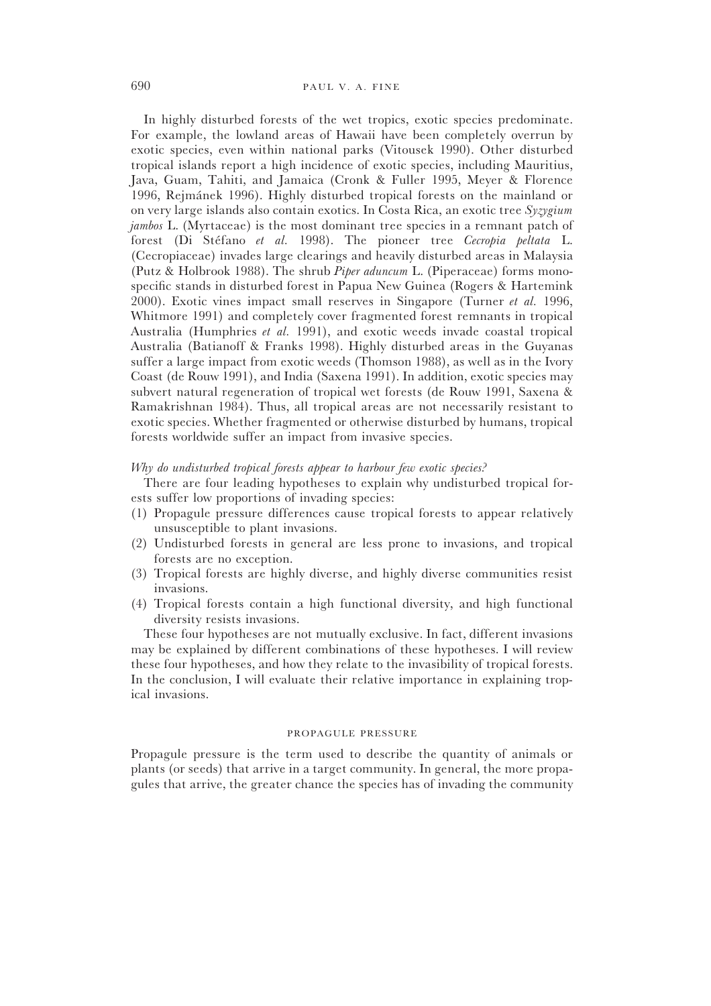In highly disturbed forests of the wet tropics, exotic species predominate. For example, the lowland areas of Hawaii have been completely overrun by exotic species, even within national parks (Vitousek 1990). Other disturbed tropical islands report a high incidence of exotic species, including Mauritius, Java, Guam, Tahiti, and Jamaica (Cronk & Fuller 1995, Meyer & Florence 1996, Rejmánek 1996). Highly disturbed tropical forests on the mainland or on very large islands also contain exotics. In Costa Rica, an exotic tree *Syzygium jambos* L. (Myrtaceae) is the most dominant tree species in a remnant patch of forest (Di Ste´fano *et al.* 1998). The pioneer tree *Cecropia peltata* L. (Cecropiaceae) invades large clearings and heavily disturbed areas in Malaysia (Putz & Holbrook 1988). The shrub *Piper aduncum* L. (Piperaceae) forms monospecific stands in disturbed forest in Papua New Guinea (Rogers & Hartemink 2000). Exotic vines impact small reserves in Singapore (Turner *et al.* 1996, Whitmore 1991) and completely cover fragmented forest remnants in tropical Australia (Humphries *et al.* 1991), and exotic weeds invade coastal tropical Australia (Batianoff & Franks 1998). Highly disturbed areas in the Guyanas suffer a large impact from exotic weeds (Thomson 1988), as well as in the Ivory Coast (de Rouw 1991), and India (Saxena 1991). In addition, exotic species may subvert natural regeneration of tropical wet forests (de Rouw 1991, Saxena & Ramakrishnan 1984). Thus, all tropical areas are not necessarily resistant to exotic species. Whether fragmented or otherwise disturbed by humans, tropical forests worldwide suffer an impact from invasive species.

### *Why do undisturbed tropical forests appear to harbour few exotic species?*

There are four leading hypotheses to explain why undisturbed tropical forests suffer low proportions of invading species:

- (1) Propagule pressure differences cause tropical forests to appear relatively unsusceptible to plant invasions.
- (2) Undisturbed forests in general are less prone to invasions, and tropical forests are no exception.
- (3) Tropical forests are highly diverse, and highly diverse communities resist invasions.
- (4) Tropical forests contain a high functional diversity, and high functional diversity resists invasions.

These four hypotheses are not mutually exclusive. In fact, different invasions may be explained by different combinations of these hypotheses. I will review these four hypotheses, and how they relate to the invasibility of tropical forests. In the conclusion, I will evaluate their relative importance in explaining tropical invasions.

#### PROPAGULE PRESSURE

Propagule pressure is the term used to describe the quantity of animals or plants (or seeds) that arrive in a target community. In general, the more propagules that arrive, the greater chance the species has of invading the community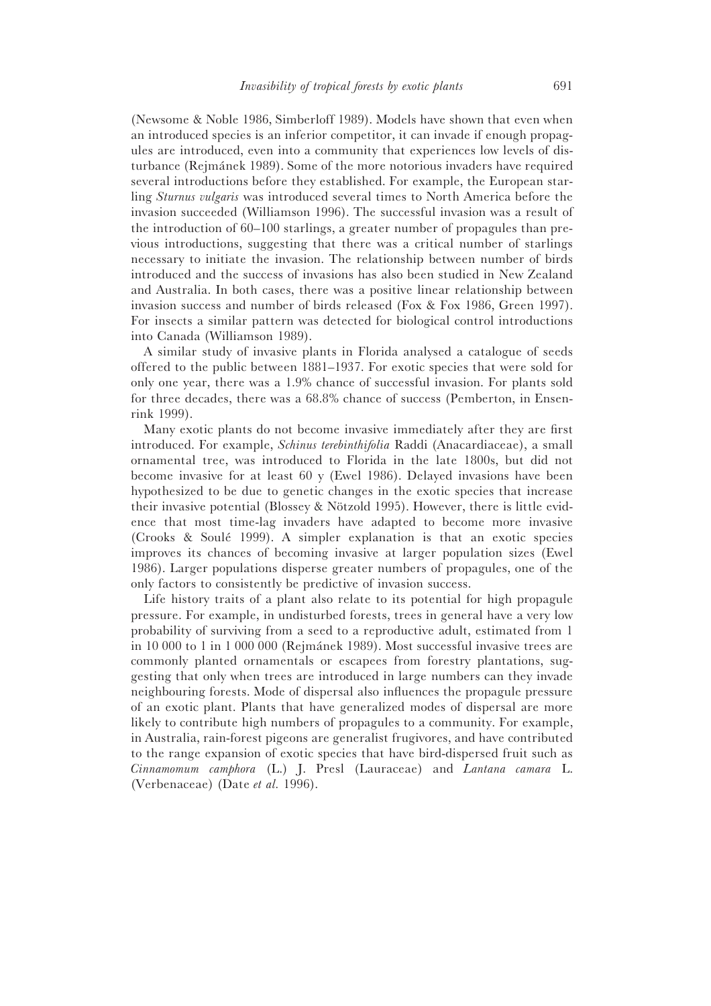(Newsome & Noble 1986, Simberloff 1989). Models have shown that even when an introduced species is an inferior competitor, it can invade if enough propagules are introduced, even into a community that experiences low levels of disturbance (Rejma´nek 1989). Some of the more notorious invaders have required several introductions before they established. For example, the European starling *Sturnus vulgaris* was introduced several times to North America before the invasion succeeded (Williamson 1996). The successful invasion was a result of the introduction of 60–100 starlings, a greater number of propagules than previous introductions, suggesting that there was a critical number of starlings necessary to initiate the invasion. The relationship between number of birds introduced and the success of invasions has also been studied in New Zealand and Australia. In both cases, there was a positive linear relationship between invasion success and number of birds released (Fox & Fox 1986, Green 1997). For insects a similar pattern was detected for biological control introductions into Canada (Williamson 1989).

A similar study of invasive plants in Florida analysed a catalogue of seeds offered to the public between 1881–1937. For exotic species that were sold for only one year, there was a 1.9% chance of successful invasion. For plants sold for three decades, there was a 68.8% chance of success (Pemberton, in Ensenrink 1999).

Many exotic plants do not become invasive immediately after they are first introduced. For example, *Schinus terebinthifolia* Raddi (Anacardiaceae), a small ornamental tree, was introduced to Florida in the late 1800s, but did not become invasive for at least 60 y (Ewel 1986). Delayed invasions have been hypothesized to be due to genetic changes in the exotic species that increase their invasive potential (Blossey & Nötzold 1995). However, there is little evidence that most time-lag invaders have adapted to become more invasive (Crooks & Soule´ 1999). A simpler explanation is that an exotic species improves its chances of becoming invasive at larger population sizes (Ewel 1986). Larger populations disperse greater numbers of propagules, one of the only factors to consistently be predictive of invasion success.

Life history traits of a plant also relate to its potential for high propagule pressure. For example, in undisturbed forests, trees in general have a very low probability of surviving from a seed to a reproductive adult, estimated from 1 in 10 000 to 1 in 1 000 000 (Rejmánek 1989). Most successful invasive trees are commonly planted ornamentals or escapees from forestry plantations, suggesting that only when trees are introduced in large numbers can they invade neighbouring forests. Mode of dispersal also influences the propagule pressure of an exotic plant. Plants that have generalized modes of dispersal are more likely to contribute high numbers of propagules to a community. For example, in Australia, rain-forest pigeons are generalist frugivores, and have contributed to the range expansion of exotic species that have bird-dispersed fruit such as *Cinnamomum camphora* (L.) J. Presl (Lauraceae) and *Lantana camara* L. (Verbenaceae) (Date *et al.* 1996).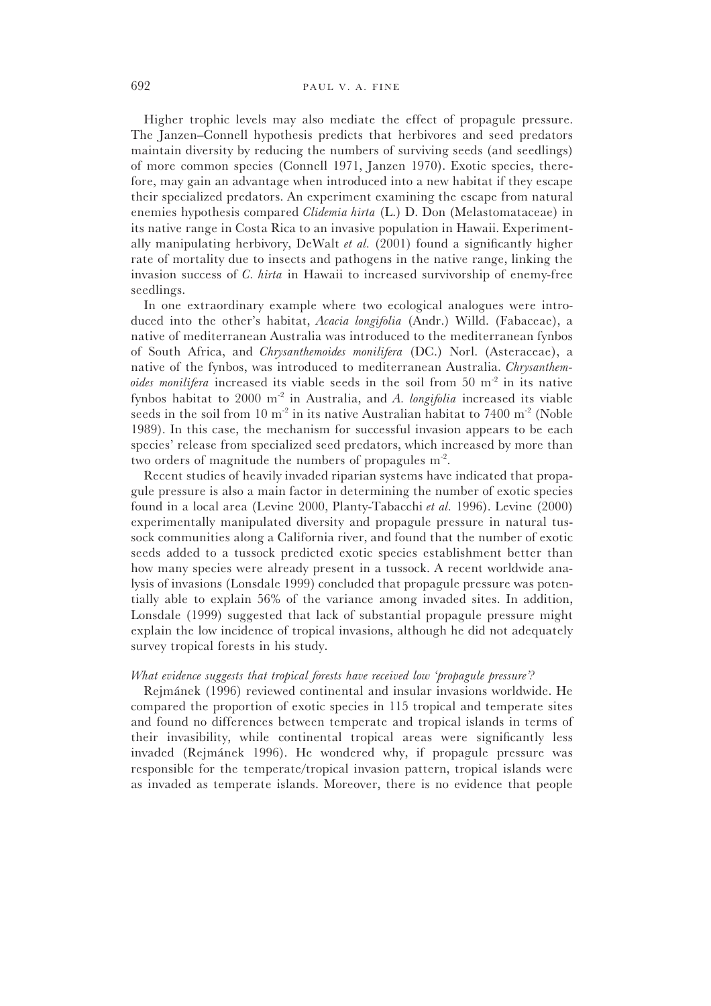Higher trophic levels may also mediate the effect of propagule pressure. The Janzen–Connell hypothesis predicts that herbivores and seed predators maintain diversity by reducing the numbers of surviving seeds (and seedlings) of more common species (Connell 1971, Janzen 1970). Exotic species, therefore, may gain an advantage when introduced into a new habitat if they escape their specialized predators. An experiment examining the escape from natural enemies hypothesis compared *Clidemia hirta* (L.) D. Don (Melastomataceae) in its native range in Costa Rica to an invasive population in Hawaii. Experimentally manipulating herbivory, DeWalt *et al.* (2001) found a significantly higher rate of mortality due to insects and pathogens in the native range, linking the invasion success of *C. hirta* in Hawaii to increased survivorship of enemy-free seedlings.

In one extraordinary example where two ecological analogues were introduced into the other's habitat, *Acacia longifolia* (Andr.) Willd. (Fabaceae), a native of mediterranean Australia was introduced to the mediterranean fynbos of South Africa, and *Chrysanthemoides monilifera* (DC.) Norl. (Asteraceae), a native of the fynbos, was introduced to mediterranean Australia. *Chrysanthemoides monilifera* increased its viable seeds in the soil from 50 m-2 in its native fynbos habitat to 2000 m-2 in Australia, and *A. longifolia* increased its viable seeds in the soil from  $10 \text{ m}^2$  in its native Australian habitat to  $7400 \text{ m}^2$  (Noble 1989). In this case, the mechanism for successful invasion appears to be each species' release from specialized seed predators, which increased by more than two orders of magnitude the numbers of propagules m-2.

Recent studies of heavily invaded riparian systems have indicated that propagule pressure is also a main factor in determining the number of exotic species found in a local area (Levine 2000, Planty-Tabacchi *et al.* 1996). Levine (2000) experimentally manipulated diversity and propagule pressure in natural tussock communities along a California river, and found that the number of exotic seeds added to a tussock predicted exotic species establishment better than how many species were already present in a tussock. A recent worldwide analysis of invasions (Lonsdale 1999) concluded that propagule pressure was potentially able to explain 56% of the variance among invaded sites. In addition, Lonsdale (1999) suggested that lack of substantial propagule pressure might explain the low incidence of tropical invasions, although he did not adequately survey tropical forests in his study.

## *What evidence suggests that tropical forests have received low 'propagule pressure'?*

Rejma´nek (1996) reviewed continental and insular invasions worldwide. He compared the proportion of exotic species in 115 tropical and temperate sites and found no differences between temperate and tropical islands in terms of their invasibility, while continental tropical areas were significantly less invaded (Rejmánek 1996). He wondered why, if propagule pressure was responsible for the temperate/tropical invasion pattern, tropical islands were as invaded as temperate islands. Moreover, there is no evidence that people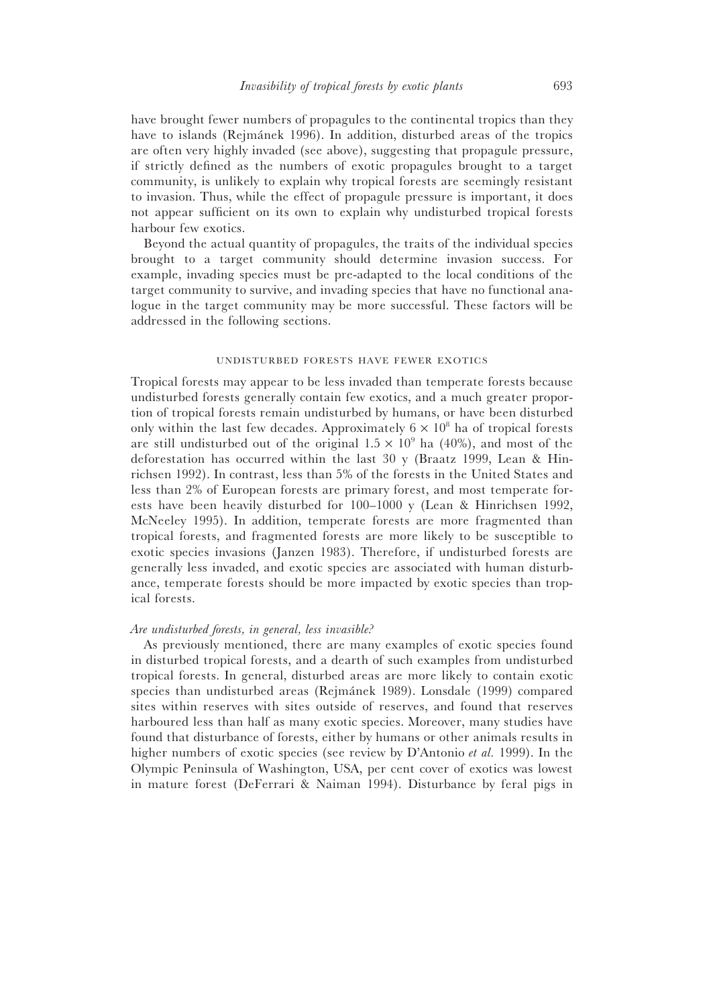have brought fewer numbers of propagules to the continental tropics than they have to islands (Rejmánek 1996). In addition, disturbed areas of the tropics are often very highly invaded (see above), suggesting that propagule pressure, if strictly defined as the numbers of exotic propagules brought to a target community, is unlikely to explain why tropical forests are seemingly resistant to invasion. Thus, while the effect of propagule pressure is important, it does not appear sufficient on its own to explain why undisturbed tropical forests harbour few exotics.

Beyond the actual quantity of propagules, the traits of the individual species brought to a target community should determine invasion success. For example, invading species must be pre-adapted to the local conditions of the target community to survive, and invading species that have no functional analogue in the target community may be more successful. These factors will be addressed in the following sections.

## UNDISTURBED FORESTS HAVE FEWER EXOTICS

Tropical forests may appear to be less invaded than temperate forests because undisturbed forests generally contain few exotics, and a much greater proportion of tropical forests remain undisturbed by humans, or have been disturbed only within the last few decades. Approximately  $6 \times 10^8$  ha of tropical forests are still undisturbed out of the original  $1.5 \times 10^9$  ha (40%), and most of the deforestation has occurred within the last 30 y (Braatz 1999, Lean & Hinrichsen 1992). In contrast, less than 5% of the forests in the United States and less than 2% of European forests are primary forest, and most temperate forests have been heavily disturbed for 100–1000 y (Lean & Hinrichsen 1992, McNeeley 1995). In addition, temperate forests are more fragmented than tropical forests, and fragmented forests are more likely to be susceptible to exotic species invasions (Janzen 1983). Therefore, if undisturbed forests are generally less invaded, and exotic species are associated with human disturbance, temperate forests should be more impacted by exotic species than tropical forests.

#### *Are undisturbed forests, in general, less invasible?*

As previously mentioned, there are many examples of exotic species found in disturbed tropical forests, and a dearth of such examples from undisturbed tropical forests. In general, disturbed areas are more likely to contain exotic species than undisturbed areas (Rejmánek 1989). Lonsdale (1999) compared sites within reserves with sites outside of reserves, and found that reserves harboured less than half as many exotic species. Moreover, many studies have found that disturbance of forests, either by humans or other animals results in higher numbers of exotic species (see review by D'Antonio *et al.* 1999). In the Olympic Peninsula of Washington, USA, per cent cover of exotics was lowest in mature forest (DeFerrari & Naiman 1994). Disturbance by feral pigs in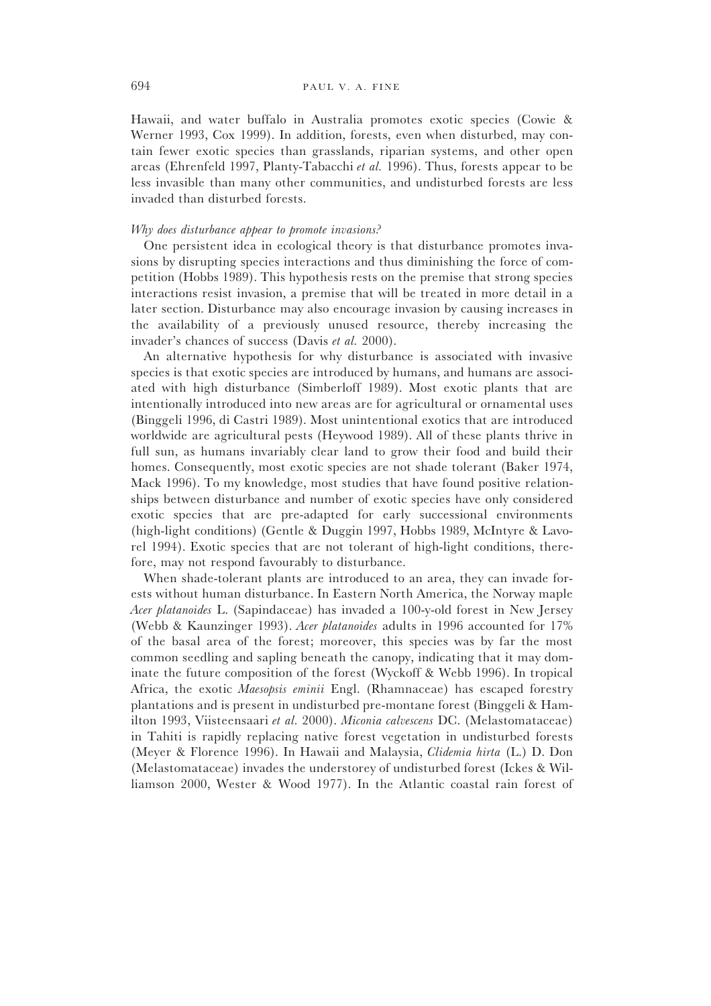Hawaii, and water buffalo in Australia promotes exotic species (Cowie & Werner 1993, Cox 1999). In addition, forests, even when disturbed, may contain fewer exotic species than grasslands, riparian systems, and other open areas (Ehrenfeld 1997, Planty-Tabacchi *et al.* 1996). Thus, forests appear to be less invasible than many other communities, and undisturbed forests are less invaded than disturbed forests.

## *Why does disturbance appear to promote invasions?*

One persistent idea in ecological theory is that disturbance promotes invasions by disrupting species interactions and thus diminishing the force of competition (Hobbs 1989). This hypothesis rests on the premise that strong species interactions resist invasion, a premise that will be treated in more detail in a later section. Disturbance may also encourage invasion by causing increases in the availability of a previously unused resource, thereby increasing the invader's chances of success (Davis *et al.* 2000).

An alternative hypothesis for why disturbance is associated with invasive species is that exotic species are introduced by humans, and humans are associated with high disturbance (Simberloff 1989). Most exotic plants that are intentionally introduced into new areas are for agricultural or ornamental uses (Binggeli 1996, di Castri 1989). Most unintentional exotics that are introduced worldwide are agricultural pests (Heywood 1989). All of these plants thrive in full sun, as humans invariably clear land to grow their food and build their homes. Consequently, most exotic species are not shade tolerant (Baker 1974, Mack 1996). To my knowledge, most studies that have found positive relationships between disturbance and number of exotic species have only considered exotic species that are pre-adapted for early successional environments (high-light conditions) (Gentle & Duggin 1997, Hobbs 1989, McIntyre & Lavorel 1994). Exotic species that are not tolerant of high-light conditions, therefore, may not respond favourably to disturbance.

When shade-tolerant plants are introduced to an area, they can invade forests without human disturbance. In Eastern North America, the Norway maple *Acer platanoides* L. (Sapindaceae) has invaded a 100-y-old forest in New Jersey (Webb & Kaunzinger 1993). *Acer platanoides* adults in 1996 accounted for 17% of the basal area of the forest; moreover, this species was by far the most common seedling and sapling beneath the canopy, indicating that it may dominate the future composition of the forest (Wyckoff & Webb 1996). In tropical Africa, the exotic *Maesopsis eminii* Engl. (Rhamnaceae) has escaped forestry plantations and is present in undisturbed pre-montane forest (Binggeli & Hamilton 1993, Viisteensaari *et al.* 2000). *Miconia calvescens* DC. (Melastomataceae) in Tahiti is rapidly replacing native forest vegetation in undisturbed forests (Meyer & Florence 1996). In Hawaii and Malaysia, *Clidemia hirta* (L.) D. Don (Melastomataceae) invades the understorey of undisturbed forest (Ickes & Williamson 2000, Wester & Wood 1977). In the Atlantic coastal rain forest of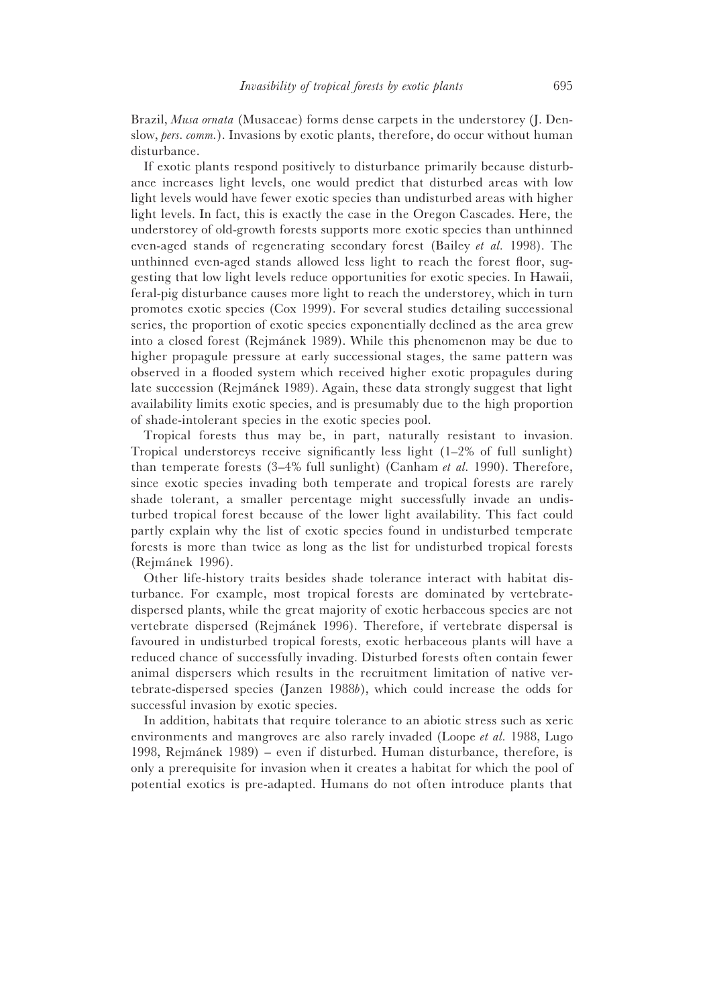Brazil, *Musa ornata* (Musaceae) forms dense carpets in the understorey (J. Denslow, *pers. comm.*). Invasions by exotic plants, therefore, do occur without human disturbance.

If exotic plants respond positively to disturbance primarily because disturbance increases light levels, one would predict that disturbed areas with low light levels would have fewer exotic species than undisturbed areas with higher light levels. In fact, this is exactly the case in the Oregon Cascades. Here, the understorey of old-growth forests supports more exotic species than unthinned even-aged stands of regenerating secondary forest (Bailey *et al.* 1998). The unthinned even-aged stands allowed less light to reach the forest floor, suggesting that low light levels reduce opportunities for exotic species. In Hawaii, feral-pig disturbance causes more light to reach the understorey, which in turn promotes exotic species (Cox 1999). For several studies detailing successional series, the proportion of exotic species exponentially declined as the area grew into a closed forest (Rejmanek 1989). While this phenomenon may be due to higher propagule pressure at early successional stages, the same pattern was observed in a flooded system which received higher exotic propagules during late succession (Rejmánek 1989). Again, these data strongly suggest that light availability limits exotic species, and is presumably due to the high proportion of shade-intolerant species in the exotic species pool.

Tropical forests thus may be, in part, naturally resistant to invasion. Tropical understoreys receive significantly less light (1–2% of full sunlight) than temperate forests (3–4% full sunlight) (Canham *et al.* 1990). Therefore, since exotic species invading both temperate and tropical forests are rarely shade tolerant, a smaller percentage might successfully invade an undisturbed tropical forest because of the lower light availability. This fact could partly explain why the list of exotic species found in undisturbed temperate forests is more than twice as long as the list for undisturbed tropical forests (Rejma´nek 1996).

Other life-history traits besides shade tolerance interact with habitat disturbance. For example, most tropical forests are dominated by vertebratedispersed plants, while the great majority of exotic herbaceous species are not vertebrate dispersed (Rejmánek 1996). Therefore, if vertebrate dispersal is favoured in undisturbed tropical forests, exotic herbaceous plants will have a reduced chance of successfully invading. Disturbed forests often contain fewer animal dispersers which results in the recruitment limitation of native vertebrate-dispersed species (Janzen 1988*b*), which could increase the odds for successful invasion by exotic species.

In addition, habitats that require tolerance to an abiotic stress such as xeric environments and mangroves are also rarely invaded (Loope *et al.* 1988, Lugo 1998, Rejma´nek 1989) – even if disturbed. Human disturbance, therefore, is only a prerequisite for invasion when it creates a habitat for which the pool of potential exotics is pre-adapted. Humans do not often introduce plants that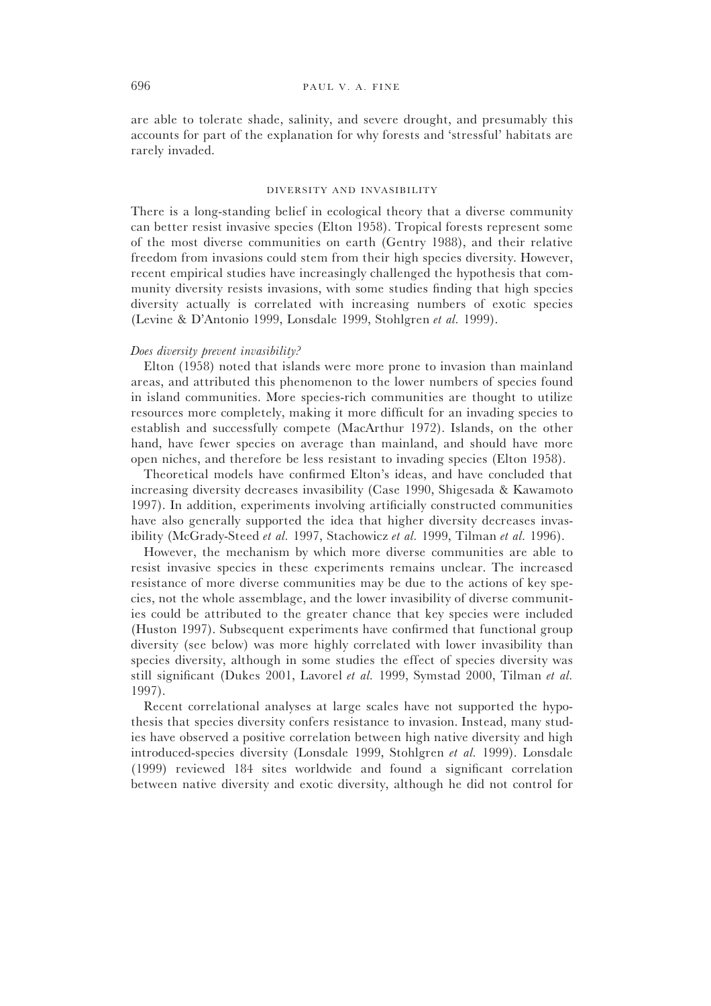are able to tolerate shade, salinity, and severe drought, and presumably this accounts for part of the explanation for why forests and 'stressful' habitats are rarely invaded.

### DIVERSITY AND INVASIBILITY

There is a long-standing belief in ecological theory that a diverse community can better resist invasive species (Elton 1958). Tropical forests represent some of the most diverse communities on earth (Gentry 1988), and their relative freedom from invasions could stem from their high species diversity. However, recent empirical studies have increasingly challenged the hypothesis that community diversity resists invasions, with some studies finding that high species diversity actually is correlated with increasing numbers of exotic species (Levine & D'Antonio 1999, Lonsdale 1999, Stohlgren *et al.* 1999).

### *Does diversity prevent invasibility?*

Elton (1958) noted that islands were more prone to invasion than mainland areas, and attributed this phenomenon to the lower numbers of species found in island communities. More species-rich communities are thought to utilize resources more completely, making it more difficult for an invading species to establish and successfully compete (MacArthur 1972). Islands, on the other hand, have fewer species on average than mainland, and should have more open niches, and therefore be less resistant to invading species (Elton 1958).

Theoretical models have confirmed Elton's ideas, and have concluded that increasing diversity decreases invasibility (Case 1990, Shigesada & Kawamoto 1997). In addition, experiments involving artificially constructed communities have also generally supported the idea that higher diversity decreases invasibility (McGrady-Steed *et al.* 1997, Stachowicz *et al.* 1999, Tilman *et al.* 1996).

However, the mechanism by which more diverse communities are able to resist invasive species in these experiments remains unclear. The increased resistance of more diverse communities may be due to the actions of key species, not the whole assemblage, and the lower invasibility of diverse communities could be attributed to the greater chance that key species were included (Huston 1997). Subsequent experiments have confirmed that functional group diversity (see below) was more highly correlated with lower invasibility than species diversity, although in some studies the effect of species diversity was still significant (Dukes 2001, Lavorel *et al.* 1999, Symstad 2000, Tilman *et al.* 1997).

Recent correlational analyses at large scales have not supported the hypothesis that species diversity confers resistance to invasion. Instead, many studies have observed a positive correlation between high native diversity and high introduced-species diversity (Lonsdale 1999, Stohlgren *et al.* 1999). Lonsdale (1999) reviewed 184 sites worldwide and found a significant correlation between native diversity and exotic diversity, although he did not control for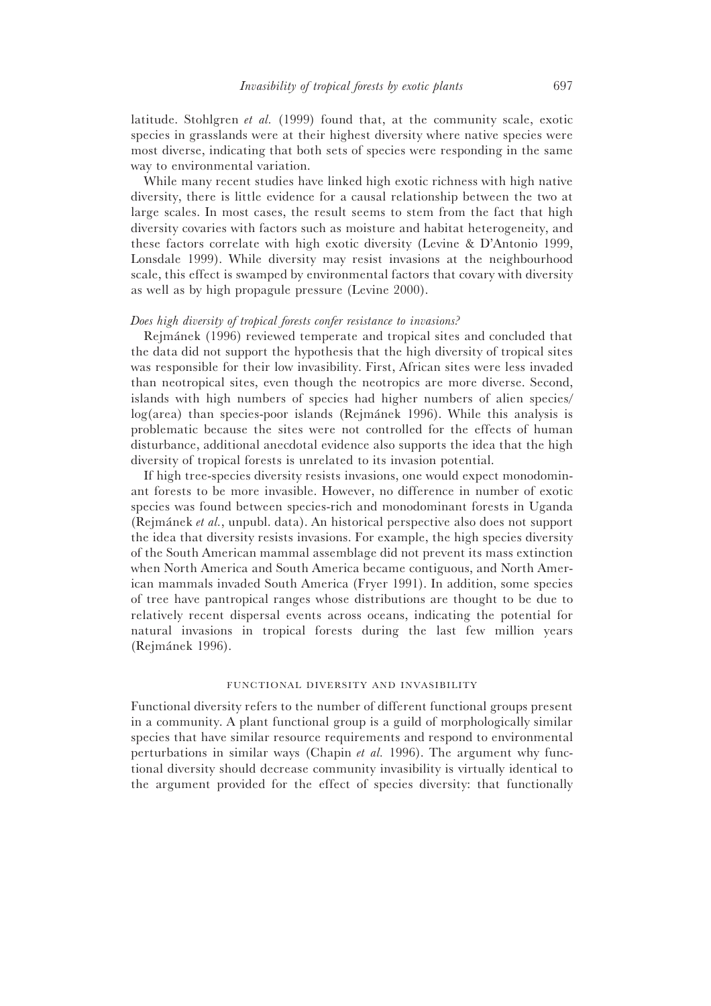latitude. Stohlgren *et al.* (1999) found that, at the community scale, exotic species in grasslands were at their highest diversity where native species were most diverse, indicating that both sets of species were responding in the same way to environmental variation.

While many recent studies have linked high exotic richness with high native diversity, there is little evidence for a causal relationship between the two at large scales. In most cases, the result seems to stem from the fact that high diversity covaries with factors such as moisture and habitat heterogeneity, and these factors correlate with high exotic diversity (Levine & D'Antonio 1999, Lonsdale 1999). While diversity may resist invasions at the neighbourhood scale, this effect is swamped by environmental factors that covary with diversity as well as by high propagule pressure (Levine 2000).

### *Does high diversity of tropical forests confer resistance to invasions?*

Rejma´nek (1996) reviewed temperate and tropical sites and concluded that the data did not support the hypothesis that the high diversity of tropical sites was responsible for their low invasibility. First, African sites were less invaded than neotropical sites, even though the neotropics are more diverse. Second, islands with high numbers of species had higher numbers of alien species/ log(area) than species-poor islands (Rejmánek 1996). While this analysis is problematic because the sites were not controlled for the effects of human disturbance, additional anecdotal evidence also supports the idea that the high diversity of tropical forests is unrelated to its invasion potential.

If high tree-species diversity resists invasions, one would expect monodominant forests to be more invasible. However, no difference in number of exotic species was found between species-rich and monodominant forests in Uganda (Rejma´nek *et al.*, unpubl. data). An historical perspective also does not support the idea that diversity resists invasions. For example, the high species diversity of the South American mammal assemblage did not prevent its mass extinction when North America and South America became contiguous, and North American mammals invaded South America (Fryer 1991). In addition, some species of tree have pantropical ranges whose distributions are thought to be due to relatively recent dispersal events across oceans, indicating the potential for natural invasions in tropical forests during the last few million years (Rejma´nek 1996).

## FUNCTIONAL DIVERSITY AND INVASIBILITY

Functional diversity refers to the number of different functional groups present in a community. A plant functional group is a guild of morphologically similar species that have similar resource requirements and respond to environmental perturbations in similar ways (Chapin *et al.* 1996). The argument why functional diversity should decrease community invasibility is virtually identical to the argument provided for the effect of species diversity: that functionally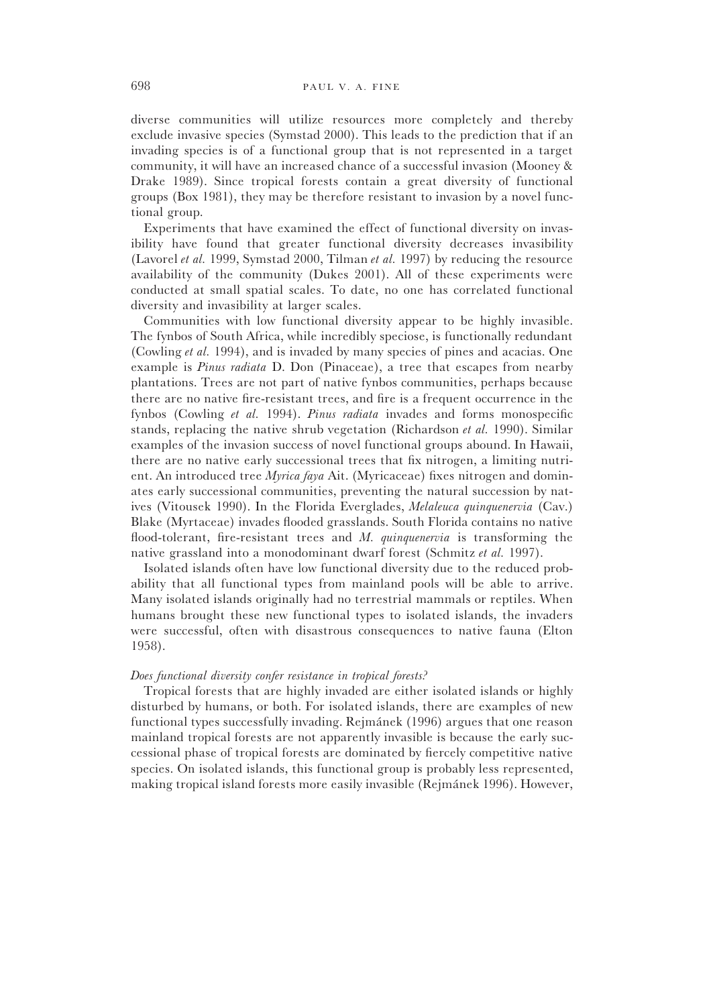diverse communities will utilize resources more completely and thereby exclude invasive species (Symstad 2000). This leads to the prediction that if an invading species is of a functional group that is not represented in a target community, it will have an increased chance of a successful invasion (Mooney & Drake 1989). Since tropical forests contain a great diversity of functional groups (Box 1981), they may be therefore resistant to invasion by a novel functional group.

Experiments that have examined the effect of functional diversity on invasibility have found that greater functional diversity decreases invasibility (Lavorel *et al.* 1999, Symstad 2000, Tilman *et al.* 1997) by reducing the resource availability of the community (Dukes 2001). All of these experiments were conducted at small spatial scales. To date, no one has correlated functional diversity and invasibility at larger scales.

Communities with low functional diversity appear to be highly invasible. The fynbos of South Africa, while incredibly speciose, is functionally redundant (Cowling *et al.* 1994), and is invaded by many species of pines and acacias. One example is *Pinus radiata* D. Don (Pinaceae), a tree that escapes from nearby plantations. Trees are not part of native fynbos communities, perhaps because there are no native fire-resistant trees, and fire is a frequent occurrence in the fynbos (Cowling *et al.* 1994). *Pinus radiata* invades and forms monospecific stands, replacing the native shrub vegetation (Richardson *et al.* 1990). Similar examples of the invasion success of novel functional groups abound. In Hawaii, there are no native early successional trees that fix nitrogen, a limiting nutrient. An introduced tree *Myrica faya* Ait. (Myricaceae) fixes nitrogen and dominates early successional communities, preventing the natural succession by natives (Vitousek 1990). In the Florida Everglades, *Melaleuca quinquenervia* (Cav.) Blake (Myrtaceae) invades flooded grasslands. South Florida contains no native flood-tolerant, fire-resistant trees and *M. quinquenervia* is transforming the native grassland into a monodominant dwarf forest (Schmitz *et al.* 1997).

Isolated islands often have low functional diversity due to the reduced probability that all functional types from mainland pools will be able to arrive. Many isolated islands originally had no terrestrial mammals or reptiles. When humans brought these new functional types to isolated islands, the invaders were successful, often with disastrous consequences to native fauna (Elton 1958).

## *Does functional diversity confer resistance in tropical forests?*

Tropical forests that are highly invaded are either isolated islands or highly disturbed by humans, or both. For isolated islands, there are examples of new functional types successfully invading. Rejmánek (1996) argues that one reason mainland tropical forests are not apparently invasible is because the early successional phase of tropical forests are dominated by fiercely competitive native species. On isolated islands, this functional group is probably less represented, making tropical island forests more easily invasible (Rejmánek 1996). However,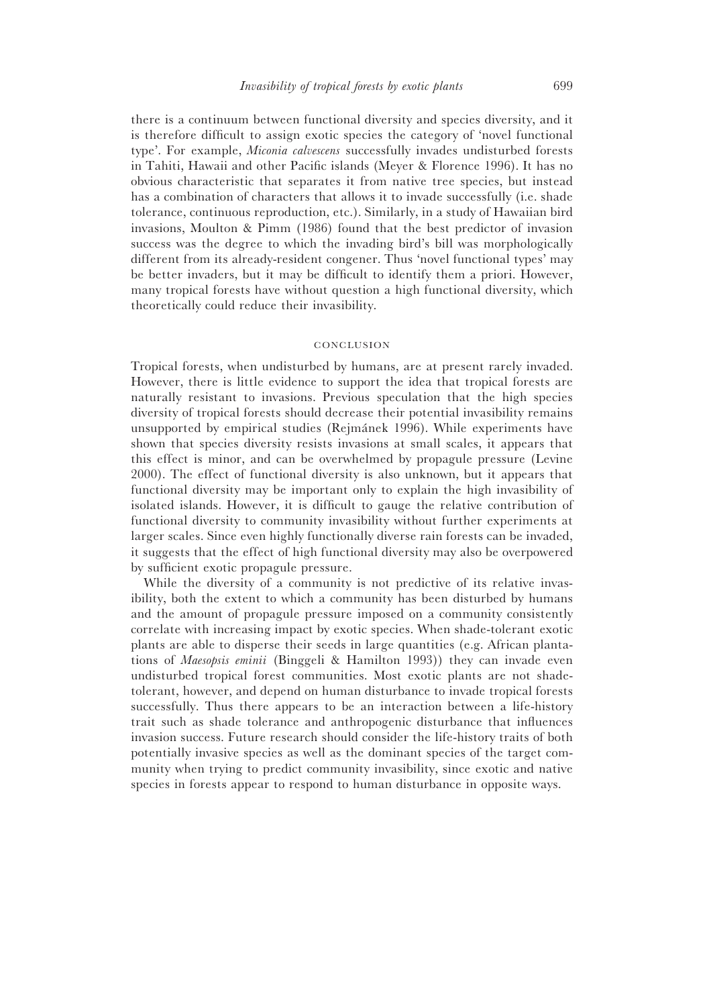there is a continuum between functional diversity and species diversity, and it is therefore difficult to assign exotic species the category of 'novel functional type'. For example, *Miconia calvescens* successfully invades undisturbed forests in Tahiti, Hawaii and other Pacific islands (Meyer & Florence 1996). It has no obvious characteristic that separates it from native tree species, but instead has a combination of characters that allows it to invade successfully (i.e. shade tolerance, continuous reproduction, etc.). Similarly, in a study of Hawaiian bird invasions, Moulton & Pimm (1986) found that the best predictor of invasion success was the degree to which the invading bird's bill was morphologically different from its already-resident congener. Thus 'novel functional types' may be better invaders, but it may be difficult to identify them a priori. However, many tropical forests have without question a high functional diversity, which theoretically could reduce their invasibility.

### **CONCLUSION**

Tropical forests, when undisturbed by humans, are at present rarely invaded. However, there is little evidence to support the idea that tropical forests are naturally resistant to invasions. Previous speculation that the high species diversity of tropical forests should decrease their potential invasibility remains unsupported by empirical studies (Rejmánek 1996). While experiments have shown that species diversity resists invasions at small scales, it appears that this effect is minor, and can be overwhelmed by propagule pressure (Levine 2000). The effect of functional diversity is also unknown, but it appears that functional diversity may be important only to explain the high invasibility of isolated islands. However, it is difficult to gauge the relative contribution of functional diversity to community invasibility without further experiments at larger scales. Since even highly functionally diverse rain forests can be invaded, it suggests that the effect of high functional diversity may also be overpowered by sufficient exotic propagule pressure.

While the diversity of a community is not predictive of its relative invasibility, both the extent to which a community has been disturbed by humans and the amount of propagule pressure imposed on a community consistently correlate with increasing impact by exotic species. When shade-tolerant exotic plants are able to disperse their seeds in large quantities (e.g. African plantations of *Maesopsis eminii* (Binggeli & Hamilton 1993)) they can invade even undisturbed tropical forest communities. Most exotic plants are not shadetolerant, however, and depend on human disturbance to invade tropical forests successfully. Thus there appears to be an interaction between a life-history trait such as shade tolerance and anthropogenic disturbance that influences invasion success. Future research should consider the life-history traits of both potentially invasive species as well as the dominant species of the target community when trying to predict community invasibility, since exotic and native species in forests appear to respond to human disturbance in opposite ways.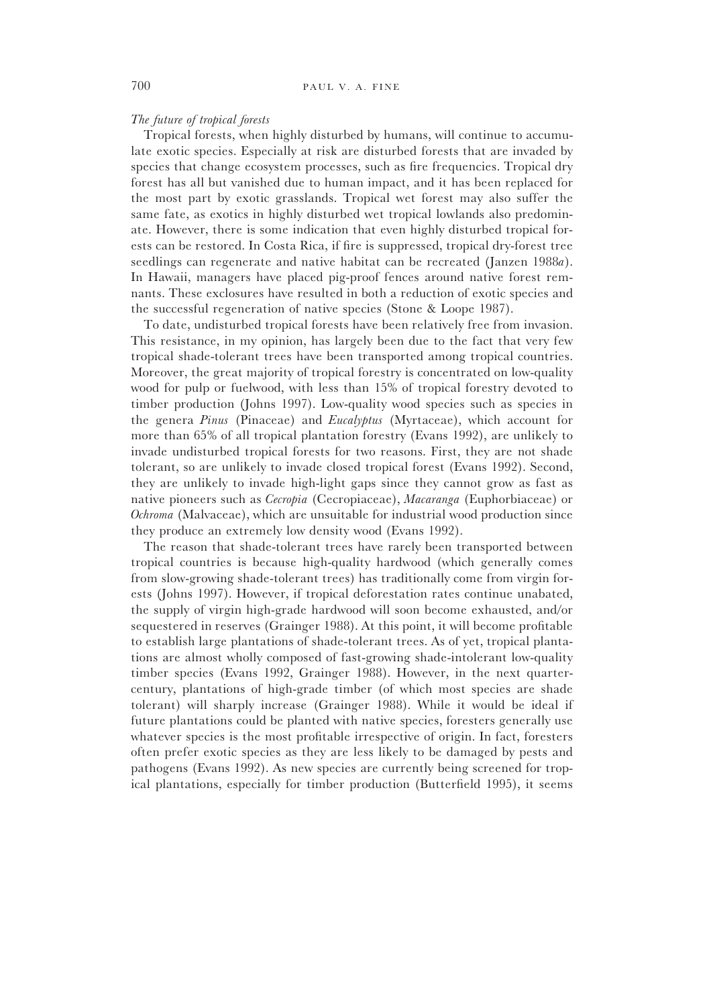#### *The future of tropical forests*

Tropical forests, when highly disturbed by humans, will continue to accumulate exotic species. Especially at risk are disturbed forests that are invaded by species that change ecosystem processes, such as fire frequencies. Tropical dry forest has all but vanished due to human impact, and it has been replaced for the most part by exotic grasslands. Tropical wet forest may also suffer the same fate, as exotics in highly disturbed wet tropical lowlands also predominate. However, there is some indication that even highly disturbed tropical forests can be restored. In Costa Rica, if fire is suppressed, tropical dry-forest tree seedlings can regenerate and native habitat can be recreated (Janzen 1988*a*). In Hawaii, managers have placed pig-proof fences around native forest remnants. These exclosures have resulted in both a reduction of exotic species and the successful regeneration of native species (Stone & Loope 1987).

To date, undisturbed tropical forests have been relatively free from invasion. This resistance, in my opinion, has largely been due to the fact that very few tropical shade-tolerant trees have been transported among tropical countries. Moreover, the great majority of tropical forestry is concentrated on low-quality wood for pulp or fuelwood, with less than 15% of tropical forestry devoted to timber production (Johns 1997). Low-quality wood species such as species in the genera *Pinus* (Pinaceae) and *Eucalyptus* (Myrtaceae), which account for more than 65% of all tropical plantation forestry (Evans 1992), are unlikely to invade undisturbed tropical forests for two reasons. First, they are not shade tolerant, so are unlikely to invade closed tropical forest (Evans 1992). Second, they are unlikely to invade high-light gaps since they cannot grow as fast as native pioneers such as *Cecropia* (Cecropiaceae), *Macaranga* (Euphorbiaceae) or *Ochroma* (Malvaceae), which are unsuitable for industrial wood production since they produce an extremely low density wood (Evans 1992).

The reason that shade-tolerant trees have rarely been transported between tropical countries is because high-quality hardwood (which generally comes from slow-growing shade-tolerant trees) has traditionally come from virgin forests (Johns 1997). However, if tropical deforestation rates continue unabated, the supply of virgin high-grade hardwood will soon become exhausted, and/or sequestered in reserves (Grainger 1988). At this point, it will become profitable to establish large plantations of shade-tolerant trees. As of yet, tropical plantations are almost wholly composed of fast-growing shade-intolerant low-quality timber species (Evans 1992, Grainger 1988). However, in the next quartercentury, plantations of high-grade timber (of which most species are shade tolerant) will sharply increase (Grainger 1988). While it would be ideal if future plantations could be planted with native species, foresters generally use whatever species is the most profitable irrespective of origin. In fact, foresters often prefer exotic species as they are less likely to be damaged by pests and pathogens (Evans 1992). As new species are currently being screened for tropical plantations, especially for timber production (Butterfield 1995), it seems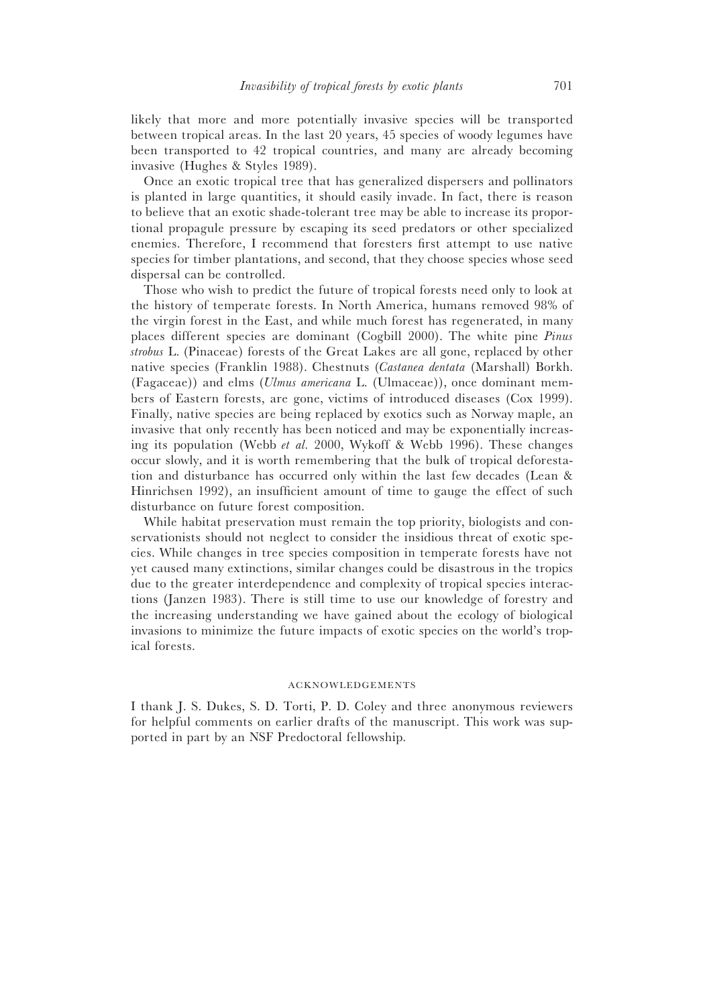likely that more and more potentially invasive species will be transported between tropical areas. In the last 20 years, 45 species of woody legumes have been transported to 42 tropical countries, and many are already becoming invasive (Hughes & Styles 1989).

Once an exotic tropical tree that has generalized dispersers and pollinators is planted in large quantities, it should easily invade. In fact, there is reason to believe that an exotic shade-tolerant tree may be able to increase its proportional propagule pressure by escaping its seed predators or other specialized enemies. Therefore, I recommend that foresters first attempt to use native species for timber plantations, and second, that they choose species whose seed dispersal can be controlled.

Those who wish to predict the future of tropical forests need only to look at the history of temperate forests. In North America, humans removed 98% of the virgin forest in the East, and while much forest has regenerated, in many places different species are dominant (Cogbill 2000). The white pine *Pinus strobus* L. (Pinaceae) forests of the Great Lakes are all gone, replaced by other native species (Franklin 1988). Chestnuts (*Castanea dentata* (Marshall) Borkh. (Fagaceae)) and elms (*Ulmus americana* L. (Ulmaceae)), once dominant members of Eastern forests, are gone, victims of introduced diseases (Cox 1999). Finally, native species are being replaced by exotics such as Norway maple, an invasive that only recently has been noticed and may be exponentially increasing its population (Webb *et al.* 2000, Wykoff & Webb 1996). These changes occur slowly, and it is worth remembering that the bulk of tropical deforestation and disturbance has occurred only within the last few decades (Lean & Hinrichsen 1992), an insufficient amount of time to gauge the effect of such disturbance on future forest composition.

While habitat preservation must remain the top priority, biologists and conservationists should not neglect to consider the insidious threat of exotic species. While changes in tree species composition in temperate forests have not yet caused many extinctions, similar changes could be disastrous in the tropics due to the greater interdependence and complexity of tropical species interactions (Janzen 1983). There is still time to use our knowledge of forestry and the increasing understanding we have gained about the ecology of biological invasions to minimize the future impacts of exotic species on the world's tropical forests.

## ACKNOWLEDGEMENTS

I thank J. S. Dukes, S. D. Torti, P. D. Coley and three anonymous reviewers for helpful comments on earlier drafts of the manuscript. This work was supported in part by an NSF Predoctoral fellowship.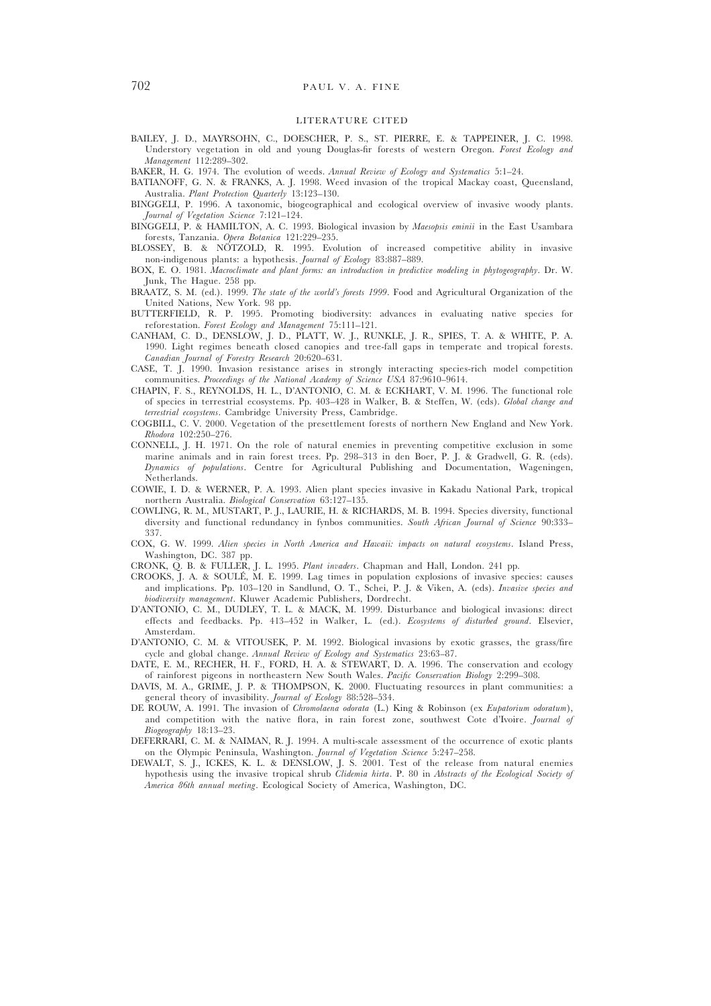#### LITERATURE CITED

- BAILEY, J. D., MAYRSOHN, C., DOESCHER, P. S., ST. PIERRE, E. & TAPPEINER, J. C. 1998. Understory vegetation in old and young Douglas-fir forests of western Oregon. *Forest Ecology and Management* 112:289–302.
- BAKER, H. G. 1974. The evolution of weeds. *Annual Review of Ecology and Systematics* 5:1–24.
- BATIANOFF, G. N. & FRANKS, A. J. 1998. Weed invasion of the tropical Mackay coast, Queensland, Australia. *Plant Protection Quarterly* 13:123–130.
- BINGGELI, P. 1996. A taxonomic, biogeographical and ecological overview of invasive woody plants. *Journal of Vegetation Science* 7:121–124.
- BINGGELI, P. & HAMILTON, A. C. 1993. Biological invasion by *Maesopsis eminii* in the East Usambara forests, Tanzania. *Opera Botanica* 121:229–235.
- BLOSSEY, B. & NÖTZOLD, R. 1995. Evolution of increased competitive ability in invasive non-indigenous plants: a hypothesis. *Journal of Ecology* 83:887–889.
- BOX, E. O. 1981. *Macroclimate and plant forms: an introduction in predictive modeling in phytogeography*. Dr. W. Junk, The Hague. 258 pp.
- BRAATZ, S. M. (ed.). 1999. *The state of the world's forests 1999*. Food and Agricultural Organization of the United Nations, New York. 98 pp.
- BUTTERFIELD, R. P. 1995. Promoting biodiversity: advances in evaluating native species for reforestation. *Forest Ecology and Management* 75:111–121.
- CANHAM, C. D., DENSLOW, J. D., PLATT, W. J., RUNKLE, J. R., SPIES, T. A. & WHITE, P. A. 1990. Light regimes beneath closed canopies and tree-fall gaps in temperate and tropical forests. *Canadian Journal of Forestry Research* 20:620–631.
- CASE, T. J. 1990. Invasion resistance arises in strongly interacting species-rich model competition communities. *Proceedings of the National Academy of Science USA* 87:9610–9614.
- CHAPIN, F. S., REYNOLDS, H. L., D'ANTONIO, C. M. & ECKHART, V. M. 1996. The functional role of species in terrestrial ecosystems. Pp. 403–428 in Walker, B. & Steffen, W. (eds). *Global change and terrestrial ecosystems*. Cambridge University Press, Cambridge.
- COGBILL, C. V. 2000. Vegetation of the presettlement forests of northern New England and New York. *Rhodora* 102:250–276.
- CONNELL, J. H. 1971. On the role of natural enemies in preventing competitive exclusion in some marine animals and in rain forest trees. Pp. 298–313 in den Boer, P. J. & Gradwell, G. R. (eds). *Dynamics of populations*. Centre for Agricultural Publishing and Documentation, Wageningen, Netherlands.
- COWIE, I. D. & WERNER, P. A. 1993. Alien plant species invasive in Kakadu National Park, tropical northern Australia. *Biological Conservation* 63:127–135.
- COWLING, R. M., MUSTART, P. J., LAURIE, H. & RICHARDS, M. B. 1994. Species diversity, functional diversity and functional redundancy in fynbos communities. *South African Journal of Science* 90:333– 337.
- COX, G. W. 1999. *Alien species in North America and Hawaii: impacts on natural ecosystems*. Island Press, Washington, DC. 387 pp.
- CRONK, Q. B. & FULLER, J. L. 1995. *Plant invaders*. Chapman and Hall, London. 241 pp.
- CROOKS, J. A. & SOULE´, M. E. 1999. Lag times in population explosions of invasive species: causes and implications. Pp. 103–120 in Sandlund, O. T., Schei, P. J. & Viken, A. (eds). *Invasive species and biodiversity management*. Kluwer Academic Publishers, Dordrecht.
- D'ANTONIO, C. M., DUDLEY, T. L. & MACK, M. 1999. Disturbance and biological invasions: direct effects and feedbacks. Pp. 413–452 in Walker, L. (ed.). *Ecosystems of disturbed ground*. Elsevier, Amsterdam.
- D'ANTONIO, C. M. & VITOUSEK, P. M. 1992. Biological invasions by exotic grasses, the grass/fire cycle and global change. *Annual Review of Ecology and Systematics* 23:63–87.
- DATE, E. M., RECHER, H. F., FORD, H. A. & STEWART, D. A. 1996. The conservation and ecology of rainforest pigeons in northeastern New South Wales. *Pacific Conservation Biology* 2:299–308.
- DAVIS, M. A., GRIME, J. P. & THOMPSON, K. 2000. Fluctuating resources in plant communities: a general theory of invasibility. *Journal of Ecology* 88:528–534.
- DE ROUW, A. 1991. The invasion of *Chromolaena odorata* (L.) King & Robinson (ex *Eupatorium odoratum*), and competition with the native flora, in rain forest zone, southwest Cote d'Ivoire. *Journal of Biogeography* 18:13–23.
- DEFERRARI, C. M. & NAIMAN, R. J. 1994. A multi-scale assessment of the occurrence of exotic plants on the Olympic Peninsula, Washington. *Journal of Vegetation Science* 5:247–258.
- DEWALT, S. J., ICKES, K. L. & DENSLOW, J. S. 2001. Test of the release from natural enemies hypothesis using the invasive tropical shrub *Clidemia hirta*. P. 80 in *Abstracts of the Ecological Society of America 86th annual meeting*. Ecological Society of America, Washington, DC.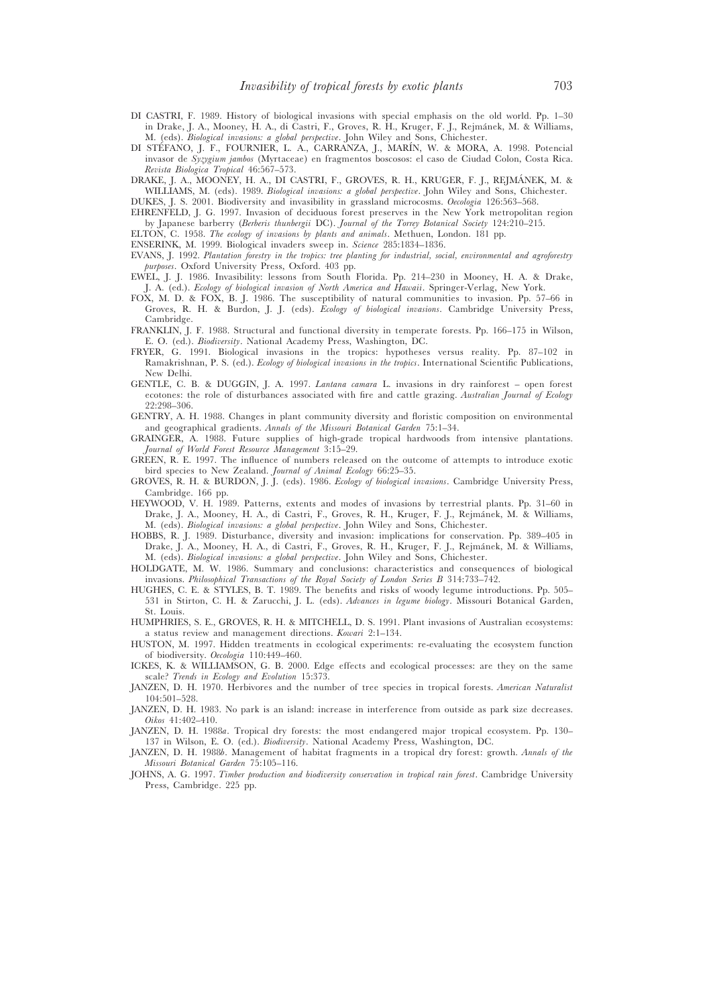- DI CASTRI, F. 1989. History of biological invasions with special emphasis on the old world. Pp. 1–30 in Drake, J. A., Mooney, H. A., di Castri, F., Groves, R. H., Kruger, F. J., Rejma´nek, M. & Williams, M. (eds). *Biological invasions: a global perspective*. John Wiley and Sons, Chichester.
- DI STÉFANO, J. F., FOURNIER, L. A., CARRANZA, J., MARÍN, W. & MORA, A. 1998. Potencial invasor de *Syzygium jambos* (Myrtaceae) en fragmentos boscosos: el caso de Ciudad Colon, Costa Rica. *Revista Biologica Tropical* 46:567–573.
- DRAKE, J. A., MOONEY, H. A., DI CASTRI, F., GROVES, R. H., KRUGER, F. J., REJMA´NEK, M. & WILLIAMS, M. (eds). 1989. *Biological invasions: a global perspective*. John Wiley and Sons, Chichester.
- DUKES, J. S. 2001. Biodiversity and invasibility in grassland microcosms. *Oecologia* 126:563–568. EHRENFELD, J. G. 1997. Invasion of deciduous forest preserves in the New York metropolitan region
- by Japanese barberry (*Berberis thunbergii* DC). *Journal of the Torrey Botanical Society* 124:210–215.
- ELTON, C. 1958. *The ecology of invasions by plants and animals*. Methuen, London. 181 pp.
- ENSERINK, M. 1999. Biological invaders sweep in. *Science* 285:1834–1836.
- EVANS, J. 1992. *Plantation forestry in the tropics: tree planting for industrial, social, environmental and agroforestry purposes*. Oxford University Press, Oxford. 403 pp.
- EWEL, J. J. 1986. Invasibility: lessons from South Florida. Pp. 214–230 in Mooney, H. A. & Drake, J. A. (ed.). *Ecology of biological invasion of North America and Hawaii*. Springer-Verlag, New York.
- FOX, M. D. & FOX, B. J. 1986. The susceptibility of natural communities to invasion. Pp. 57–66 in Groves, R. H. & Burdon, J. J. (eds). *Ecology of biological invasions*. Cambridge University Press, Cambridge.
- FRANKLIN, J. F. 1988. Structural and functional diversity in temperate forests. Pp. 166–175 in Wilson, E. O. (ed.). *Biodiversity*. National Academy Press, Washington, DC.
- FRYER, G. 1991. Biological invasions in the tropics: hypotheses versus reality. Pp. 87–102 in Ramakrishnan, P. S. (ed.). *Ecology of biological invasions in the tropics*. International Scientific Publications, New Delhi.
- GENTLE, C. B. & DUGGIN, J. A. 1997. *Lantana camara* L. invasions in dry rainforest open forest ecotones: the role of disturbances associated with fire and cattle grazing. *Australian Journal of Ecology* 22:298–306.
- GENTRY, A. H. 1988. Changes in plant community diversity and floristic composition on environmental and geographical gradients. *Annals of the Missouri Botanical Garden* 75:1–34.
- GRAINGER, A. 1988. Future supplies of high-grade tropical hardwoods from intensive plantations. *Journal of World Forest Resource Management* 3:15–29.
- GREEN, R. E. 1997. The influence of numbers released on the outcome of attempts to introduce exotic bird species to New Zealand. *Journal of Animal Ecology* 66:25–35.
- GROVES, R. H. & BURDON, J. J. (eds). 1986. *Ecology of biological invasions*. Cambridge University Press, Cambridge. 166 pp.
- HEYWOOD, V. H. 1989. Patterns, extents and modes of invasions by terrestrial plants. Pp. 31–60 in Drake, J. A., Mooney, H. A., di Castri, F., Groves, R. H., Kruger, F. J., Rejma´nek, M. & Williams, M. (eds). *Biological invasions: a global perspective*. John Wiley and Sons, Chichester.
- HOBBS, R. J. 1989. Disturbance, diversity and invasion: implications for conservation. Pp. 389–405 in Drake, J. A., Mooney, H. A., di Castri, F., Groves, R. H., Kruger, F. J., Rejmánek, M. & Williams, M. (eds). *Biological invasions: a global perspective*. John Wiley and Sons, Chichester.
- HOLDGATE, M. W. 1986. Summary and conclusions: characteristics and consequences of biological invasions. *Philosophical Transactions of the Royal Society of London Series B* 314:733–742.
- HUGHES, C. E. & STYLES, B. T. 1989. The benefits and risks of woody legume introductions. Pp. 505– 531 in Stirton, C. H. & Zarucchi, J. L. (eds). *Advances in legume biology*. Missouri Botanical Garden, St. Louis.
- HUMPHRIES, S. E., GROVES, R. H. & MITCHELL, D. S. 1991. Plant invasions of Australian ecosystems: a status review and management directions. *Kowari* 2:1–134.
- HUSTON, M. 1997. Hidden treatments in ecological experiments: re-evaluating the ecosystem function of biodiversity. *Oecologia* 110:449–460.
- ICKES, K. & WILLIAMSON, G. B. 2000. Edge effects and ecological processes: are they on the same scale? *Trends in Ecology and Evolution* 15:373.
- JANZEN, D. H. 1970. Herbivores and the number of tree species in tropical forests. *American Naturalist* 104:501–528.
- JANZEN, D. H. 1983. No park is an island: increase in interference from outside as park size decreases. *Oikos* 41:402–410.
- JANZEN, D. H. 1988*a*. Tropical dry forests: the most endangered major tropical ecosystem. Pp. 130– 137 in Wilson, E. O. (ed.). *Biodiversity*. National Academy Press, Washington, DC.
- JANZEN, D. H. 1988*b*. Management of habitat fragments in a tropical dry forest: growth. *Annals of the Missouri Botanical Garden* 75:105–116.
- JOHNS, A. G. 1997. *Timber production and biodiversity conservation in tropical rain forest*. Cambridge University Press, Cambridge. 225 pp.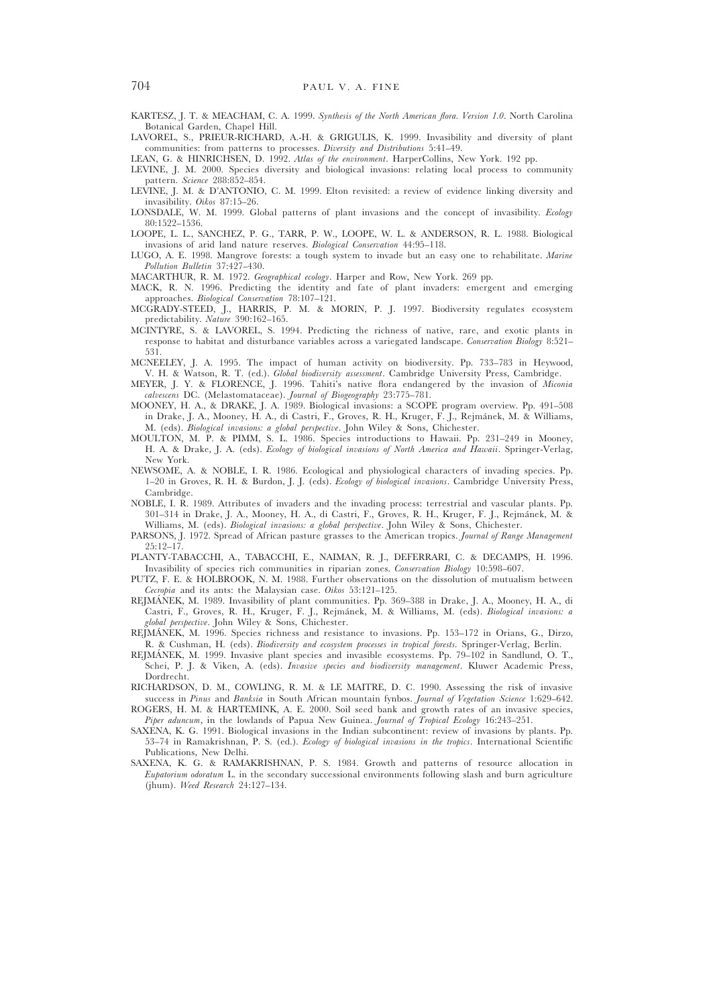- KARTESZ, J. T. & MEACHAM, C. A. 1999. *Synthesis of the North American flora. Version 1.0*. North Carolina Botanical Garden, Chapel Hill.
- LAVOREL, S., PRIEUR-RICHARD, A.-H. & GRIGULIS, K. 1999. Invasibility and diversity of plant communities: from patterns to processes. *Diversity and Distributions* 5:41–49.

LEAN, G. & HINRICHSEN, D. 1992. *Atlas of the environment*. HarperCollins, New York. 192 pp.

- LEVINE, J. M. 2000. Species diversity and biological invasions: relating local process to community pattern. *Science* 288:852–854.
- LEVINE, J. M. & D'ANTONIO, C. M. 1999. Elton revisited: a review of evidence linking diversity and invasibility. *Oikos* 87:15–26.
- LONSDALE, W. M. 1999. Global patterns of plant invasions and the concept of invasibility. *Ecology* 80:1522–1536.
- LOOPE, L. L., SANCHEZ, P. G., TARR, P. W., LOOPE, W. L. & ANDERSON, R. L. 1988. Biological invasions of arid land nature reserves. *Biological Conservation* 44:95–118.
- LUGO, A. E. 1998. Mangrove forests: a tough system to invade but an easy one to rehabilitate. *Marine Pollution Bulletin* 37:427–430.
- MACARTHUR, R. M. 1972. *Geographical ecology*. Harper and Row, New York. 269 pp.
- MACK, R. N. 1996. Predicting the identity and fate of plant invaders: emergent and emerging approaches. *Biological Conservation* 78:107–121.
- MCGRADY-STEED, J., HARRIS, P. M. & MORIN, P. J. 1997. Biodiversity regulates ecosystem predictability. *Nature* 390:162–165.
- MCINTYRE, S. & LAVOREL, S. 1994. Predicting the richness of native, rare, and exotic plants in response to habitat and disturbance variables across a variegated landscape. *Conservation Biology* 8:521– 531.
- MCNEELEY, J. A. 1995. The impact of human activity on biodiversity. Pp. 733–783 in Heywood, V. H. & Watson, R. T. (ed.). *Global biodiversity assessment*. Cambridge University Press, Cambridge.
- MEYER, J. Y. & FLORENCE, J. 1996. Tahiti's native flora endangered by the invasion of *Miconia calvescens* DC. (Melastomataceae). *Journal of Biogeography* 23:775–781.
- MOONEY, H. A., & DRAKE, J. A. 1989. Biological invasions: a SCOPE program overview. Pp. 491–508 in Drake, J. A., Mooney, H. A., di Castri, F., Groves, R. H., Kruger, F. J., Rejma´nek, M. & Williams, M. (eds). *Biological invasions: a global perspective*. John Wiley & Sons, Chichester.
- MOULTON, M. P. & PIMM, S. L. 1986. Species introductions to Hawaii. Pp. 231–249 in Mooney, H. A. & Drake, J. A. (eds). *Ecology of biological invasions of North America and Hawaii*. Springer-Verlag, New York.
- NEWSOME, A. & NOBLE, I. R. 1986. Ecological and physiological characters of invading species. Pp. 1–20 in Groves, R. H. & Burdon, J. J. (eds). *Ecology of biological invasions*. Cambridge University Press, Cambridge.
- NOBLE, I. R. 1989. Attributes of invaders and the invading process: terrestrial and vascular plants. Pp. 301–314 in Drake, J. A., Mooney, H. A., di Castri, F., Groves, R. H., Kruger, F. J., Rejma´nek, M. & Williams, M. (eds). *Biological invasions: a global perspective*. John Wiley & Sons, Chichester.
- PARSONS, J. 1972. Spread of African pasture grasses to the American tropics. *Journal of Range Management*  $25.12 - 17$
- PLANTY-TABACCHI, A., TABACCHI, E., NAIMAN, R. J., DEFERRARI, C. & DECAMPS, H. 1996. Invasibility of species rich communities in riparian zones. *Conservation Biology* 10:598–607.
- PUTZ, F. E. & HOLBROOK, N. M. 1988. Further observations on the dissolution of mutualism between *Cecropia* and its ants: the Malaysian case. *Oikos* 53:121–125.
- REJMA´NEK, M. 1989. Invasibility of plant communities. Pp. 369–388 in Drake, J. A., Mooney, H. A., di Castri, F., Groves, R. H., Kruger, F. J., Rejma´nek, M. & Williams, M. (eds). *Biological invasions: a global perspective*. John Wiley & Sons, Chichester.
- REJMA´NEK, M. 1996. Species richness and resistance to invasions. Pp. 153–172 in Orians, G., Dirzo, R. & Cushman, H. (eds). *Biodiversity and ecosystem processes in tropical forests.* Springer-Verlag, Berlin.
- REJMA´NEK, M. 1999. Invasive plant species and invasible ecosystems. Pp. 79–102 in Sandlund, O. T., Schei, P. J. & Viken, A. (eds). *Invasive species and biodiversity management*. Kluwer Academic Press, Dordrecht.
- RICHARDSON, D. M., COWLING, R. M. & LE MAITRE, D. C. 1990. Assessing the risk of invasive success in *Pinus* and *Banksia* in South African mountain fynbos. *Journal of Vegetation Science* 1:629–642.
- ROGERS, H. M. & HARTEMINK, A. E. 2000. Soil seed bank and growth rates of an invasive species, *Piper aduncum*, in the lowlands of Papua New Guinea. *Journal of Tropical Ecology* 16:243–251.
- SAXENA, K. G. 1991. Biological invasions in the Indian subcontinent: review of invasions by plants. Pp. 53–74 in Ramakrishnan, P. S. (ed.). *Ecology of biological invasions in the tropics*. International Scientific Publications, New Delhi.
- SAXENA, K. G. & RAMAKRISHNAN, P. S. 1984. Growth and patterns of resource allocation in *Eupatorium odoratum* L. in the secondary successional environments following slash and burn agriculture (jhum). *Weed Research* 24:127–134.